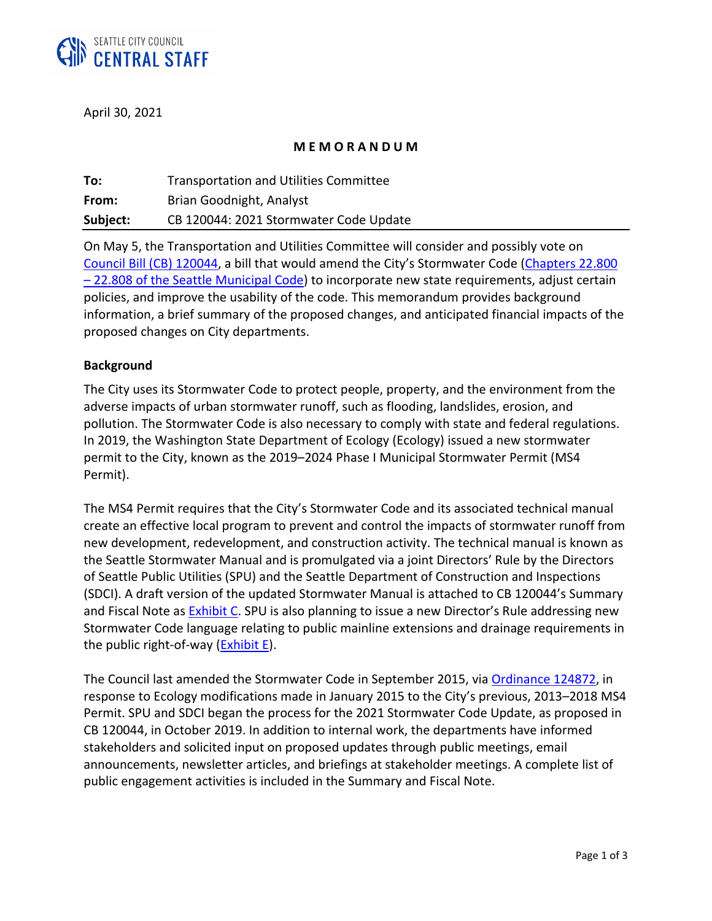

April 30, 2021

## **M E M O R A N D U M**

| To:      | <b>Transportation and Utilities Committee</b> |
|----------|-----------------------------------------------|
| From:    | Brian Goodnight, Analyst                      |
| Subject: | CB 120044: 2021 Stormwater Code Update        |

On May 5, the Transportation and Utilities Committee will consider and possibly vote on [Council Bill \(CB\) 120044,](http://seattle.legistar.com/LegislationDetail.aspx?ID=4916890&GUID=87C1245A-C09B-4591-92C9-826E21EBE652) a bill that would amend the City's Stormwater Code ([Chapters 22.800](https://library.municode.com/wa/seattle/codes/municipal_code?nodeId=TIT22BUCOCO_SUBTITLE_VIIISTCO_CH22.800TIPUSCAU)  - [22.808 of the Seattle Municipal Code\)](https://library.municode.com/wa/seattle/codes/municipal_code?nodeId=TIT22BUCOCO_SUBTITLE_VIIISTCO_CH22.800TIPUSCAU) to incorporate new state requirements, adjust certain policies, and improve the usability of the code. This memorandum provides background information, a brief summary of the proposed changes, and anticipated financial impacts of the proposed changes on City departments.

## **Background**

The City uses its Stormwater Code to protect people, property, and the environment from the adverse impacts of urban stormwater runoff, such as flooding, landslides, erosion, and pollution. The Stormwater Code is also necessary to comply with state and federal regulations. In 2019, the Washington State Department of Ecology (Ecology) issued a new stormwater permit to the City, known as the 2019–2024 Phase I Municipal Stormwater Permit (MS4 Permit).

The MS4 Permit requires that the City's Stormwater Code and its associated technical manual create an effective local program to prevent and control the impacts of stormwater runoff from new development, redevelopment, and construction activity. The technical manual is known as the Seattle Stormwater Manual and is promulgated via a joint Directors' Rule by the Directors of Seattle Public Utilities (SPU) and the Seattle Department of Construction and Inspections (SDCI). A draft version of the updated Stormwater Manual is attached to CB 120044's Summary and Fiscal Note as **Exhibit C. SPU** is also planning to issue a new Director's Rule addressing new Stormwater Code language relating to public mainline extensions and drainage requirements in the public right-of-way  $(Exhibit E)$ .

The Council last amended the Stormwater Code in September 2015, via [Ordinance 124872,](http://seattle.legistar.com/LegislationDetail.aspx?ID=2400201&GUID=5BA38CCD-8C5F-49EB-8379-51DC1CCC1E99) in response to Ecology modifications made in January 2015 to the City's previous, 2013–2018 MS4 Permit. SPU and SDCI began the process for the 2021 Stormwater Code Update, as proposed in CB 120044, in October 2019. In addition to internal work, the departments have informed stakeholders and solicited input on proposed updates through public meetings, email announcements, newsletter articles, and briefings at stakeholder meetings. A complete list of public engagement activities is included in the Summary and Fiscal Note.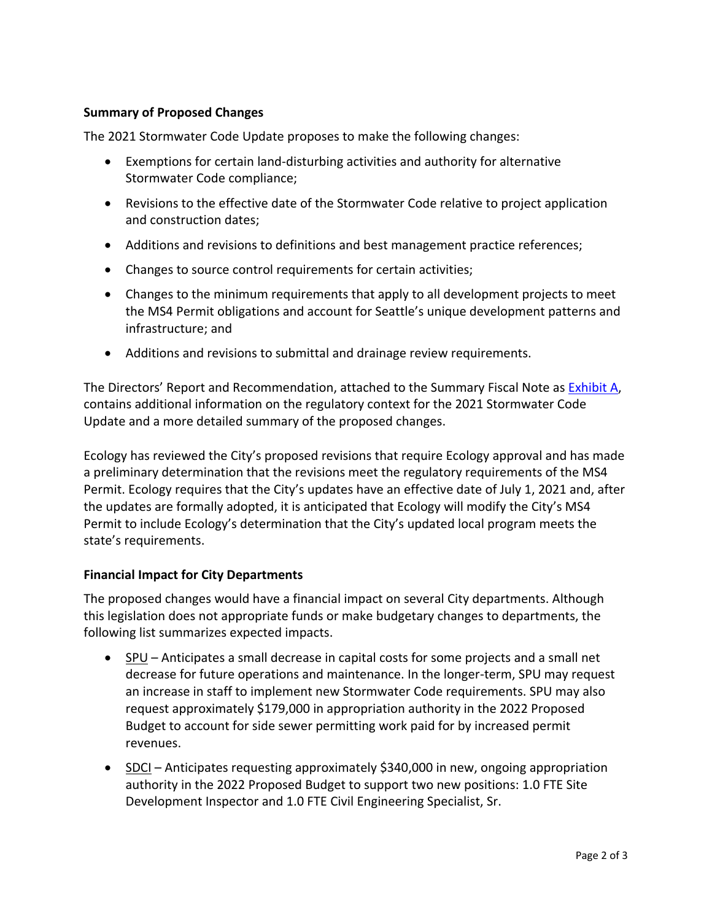## **Summary of Proposed Changes**

The 2021 Stormwater Code Update proposes to make the following changes:

- Exemptions for certain land-disturbing activities and authority for alternative Stormwater Code compliance;
- Revisions to the effective date of the Stormwater Code relative to project application and construction dates;
- Additions and revisions to definitions and best management practice references;
- Changes to source control requirements for certain activities;
- Changes to the minimum requirements that apply to all development projects to meet the MS4 Permit obligations and account for Seattle's unique development patterns and infrastructure; and
- Additions and revisions to submittal and drainage review requirements.

The Directors' Report and Recommendation, attached to the Summary Fiscal Note as [Exhibit A,](http://seattle.legistar.com/View.ashx?M=F&ID=9321488&GUID=26A53980-1541-4F6C-89B4-19E5017A70F7) contains additional information on the regulatory context for the 2021 Stormwater Code Update and a more detailed summary of the proposed changes.

Ecology has reviewed the City's proposed revisions that require Ecology approval and has made a preliminary determination that the revisions meet the regulatory requirements of the MS4 Permit. Ecology requires that the City's updates have an effective date of July 1, 2021 and, after the updates are formally adopted, it is anticipated that Ecology will modify the City's MS4 Permit to include Ecology's determination that the City's updated local program meets the state's requirements.

## **Financial Impact for City Departments**

The proposed changes would have a financial impact on several City departments. Although this legislation does not appropriate funds or make budgetary changes to departments, the following list summarizes expected impacts.

- $SPU -$  Anticipates a small decrease in capital costs for some projects and a small net decrease for future operations and maintenance. In the longer-term, SPU may request an increase in staff to implement new Stormwater Code requirements. SPU may also request approximately \$179,000 in appropriation authority in the 2022 Proposed Budget to account for side sewer permitting work paid for by increased permit revenues.
- SDCI Anticipates requesting approximately \$340,000 in new, ongoing appropriation authority in the 2022 Proposed Budget to support two new positions: 1.0 FTE Site Development Inspector and 1.0 FTE Civil Engineering Specialist, Sr.